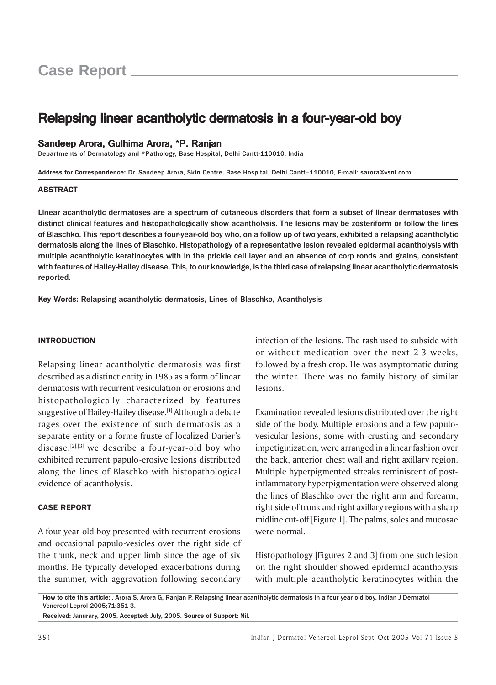# Relapsing linear acantholytic dermatosis in a four-year-old boy

# Sandeep Arora, Gulhima Arora, \*P. Ranjan

Departments of Dermatology and \*Pathology, Base Hospital, Delhi Cantt-110010, India

Address for Correspondence: Dr. Sandeep Arora, Skin Centre, Base Hospital, Delhi Cantt–110010, E-mail: sarora@vsnl.com

#### ABSTRACT

Linear acantholytic dermatoses are a spectrum of cutaneous disorders that form a subset of linear dermatoses with distinct clinical features and histopathologically show acantholysis. The lesions may be zosteriform or follow the lines of Blaschko. This report describes a four-year-old boy who, on a follow up of two years, exhibited a relapsing acantholytic dermatosis along the lines of Blaschko. Histopathology of a representative lesion revealed epidermal acantholysis with multiple acantholytic keratinocytes with in the prickle cell layer and an absence of corp ronds and grains, consistent with features of Hailey-Hailey disease. This, to our knowledge, is the third case of relapsing linear acantholytic dermatosis reported.

Key Words: Relapsing acantholytic dermatosis, Lines of Blaschko, Acantholysis

### INTRODUCTION

Relapsing linear acantholytic dermatosis was first described as a distinct entity in 1985 as a form of linear dermatosis with recurrent vesiculation or erosions and histopathologically characterized by features suggestive of Hailey-Hailey disease.<sup>[1]</sup> Although a debate rages over the existence of such dermatosis as a separate entity or a forme fruste of localized Darier's disease, $[2]$ , $[3]$  we describe a four-year-old boy who exhibited recurrent papulo-erosive lesions distributed along the lines of Blaschko with histopathological evidence of acantholysis.

# CASE REPORT

A four-year-old boy presented with recurrent erosions and occasional papulo-vesicles over the right side of the trunk, neck and upper limb since the age of six months. He typically developed exacerbations during the summer, with aggravation following secondary

infection of the lesions. The rash used to subside with or without medication over the next 2-3 weeks, followed by a fresh crop. He was asymptomatic during the winter. There was no family history of similar lesions.

Examination revealed lesions distributed over the right side of the body. Multiple erosions and a few papulovesicular lesions, some with crusting and secondary impetiginization, were arranged in a linear fashion over the back, anterior chest wall and right axillary region. Multiple hyperpigmented streaks reminiscent of postinflammatory hyperpigmentation were observed along the lines of Blaschko over the right arm and forearm, right side of trunk and right axillary regions with a sharp midline cut-off [Figure 1]. The palms, soles and mucosae were normal.

Histopathology [Figures 2 and 3] from one such lesion on the right shoulder showed epidermal acantholysis with multiple acantholytic keratinocytes within the

How to cite this article: . Arora S, Arora G, Ranjan P. Relapsing linear acantholytic dermatosis in a four year old boy. Indian J Dermatol Venereol Leprol 2005;71:351-3. Received: Janurary, 2005. Accepted: July, 2005. Source of Support: Nil.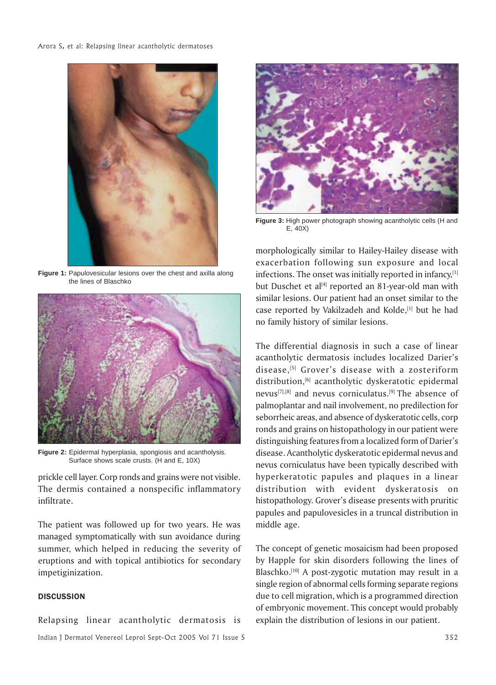

**Figure 1:** Papulovesicular lesions over the chest and axilla along the lines of Blaschko



**Figure 2:** Epidermal hyperplasia, spongiosis and acantholysis. Surface shows scale crusts. (H and E, 10X)

prickle cell layer. Corp ronds and grains were not visible. The dermis contained a nonspecific inflammatory infiltrate.

The patient was followed up for two years. He was managed symptomatically with sun avoidance during summer, which helped in reducing the severity of eruptions and with topical antibiotics for secondary impetiginization.

## **DISCUSSION**

Indian J Dermatol Venereol Leprol Sept-Oct 2005 Vol 71 Issue 5 352 Relapsing linear acantholytic dermatosis is



**Figure 3:** High power photograph showing acantholytic cells (H and E, 40X)

morphologically similar to Hailey-Hailey disease with exacerbation following sun exposure and local infections. The onset was initially reported in infancy, $[1]$ but Duschet et al $[4]$  reported an 81-year-old man with similar lesions. Our patient had an onset similar to the case reported by Vakilzadeh and Kolde,<sup>[1]</sup> but he had no family history of similar lesions.

The differential diagnosis in such a case of linear acantholytic dermatosis includes localized Darier's disease,[5] Grover's disease with a zosteriform distribution,<sup>[6]</sup> acantholytic dyskeratotic epidermal nevus[7],[8] and nevus corniculatus.[9] The absence of palmoplantar and nail involvement, no predilection for seborrheic areas, and absence of dyskeratotic cells, corp ronds and grains on histopathology in our patient were distinguishing features from a localized form of Darier's disease. Acantholytic dyskeratotic epidermal nevus and nevus corniculatus have been typically described with hyperkeratotic papules and plaques in a linear distribution with evident dyskeratosis on histopathology. Grover's disease presents with pruritic papules and papulovesicles in a truncal distribution in middle age.

The concept of genetic mosaicism had been proposed by Happle for skin disorders following the lines of Blaschko.<sup>[10]</sup> A post-zygotic mutation may result in a single region of abnormal cells forming separate regions due to cell migration, which is a programmed direction of embryonic movement. This concept would probably explain the distribution of lesions in our patient.